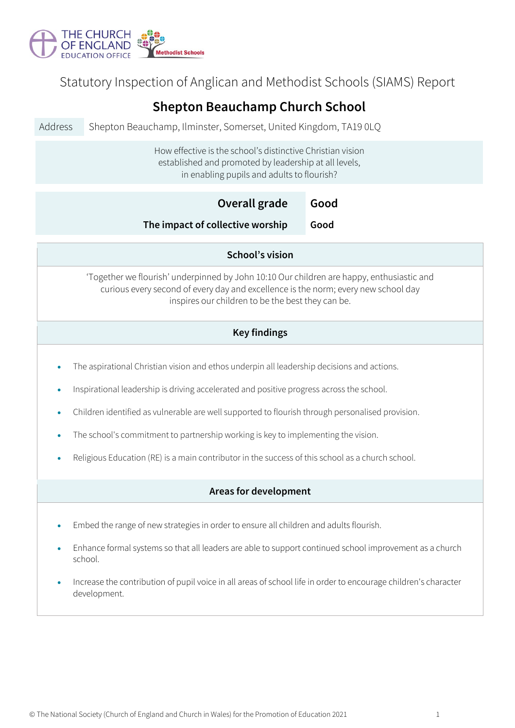

Statutory Inspection of Anglican and Methodist Schools (SIAMS) Report

| <b>Shepton Beauchamp Church School</b>                                                                                                                                                                                                                                                                                                                                                                                                                                              |                                                                  |      |  |  |  |
|-------------------------------------------------------------------------------------------------------------------------------------------------------------------------------------------------------------------------------------------------------------------------------------------------------------------------------------------------------------------------------------------------------------------------------------------------------------------------------------|------------------------------------------------------------------|------|--|--|--|
| Address                                                                                                                                                                                                                                                                                                                                                                                                                                                                             | Shepton Beauchamp, Ilminster, Somerset, United Kingdom, TA19 0LQ |      |  |  |  |
| How effective is the school's distinctive Christian vision<br>established and promoted by leadership at all levels,<br>in enabling pupils and adults to flourish?                                                                                                                                                                                                                                                                                                                   |                                                                  |      |  |  |  |
|                                                                                                                                                                                                                                                                                                                                                                                                                                                                                     | Overall grade                                                    | Good |  |  |  |
|                                                                                                                                                                                                                                                                                                                                                                                                                                                                                     | The impact of collective worship                                 | Good |  |  |  |
| School's vision                                                                                                                                                                                                                                                                                                                                                                                                                                                                     |                                                                  |      |  |  |  |
| 'Together we flourish' underpinned by John 10:10 Our children are happy, enthusiastic and<br>curious every second of every day and excellence is the norm; every new school day<br>inspires our children to be the best they can be.                                                                                                                                                                                                                                                |                                                                  |      |  |  |  |
| <b>Key findings</b>                                                                                                                                                                                                                                                                                                                                                                                                                                                                 |                                                                  |      |  |  |  |
| The aspirational Christian vision and ethos underpin all leadership decisions and actions.<br>Inspirational leadership is driving accelerated and positive progress across the school.<br>Children identified as vulnerable are well supported to flourish through personalised provision.<br>The school's commitment to partnership working is key to implementing the vision.<br>Religious Education (RE) is a main contributor in the success of this school as a church school. |                                                                  |      |  |  |  |
| Areas for development                                                                                                                                                                                                                                                                                                                                                                                                                                                               |                                                                  |      |  |  |  |
| Embed the range of new strategies in order to ensure all children and adults flourish.<br>Enhance formal systems so that all leaders are able to support continued school improvement as a church<br>school.<br>Increase the contribution of pupil voice in all areas of school life in order to encourage children's character<br>development.                                                                                                                                     |                                                                  |      |  |  |  |
|                                                                                                                                                                                                                                                                                                                                                                                                                                                                                     |                                                                  |      |  |  |  |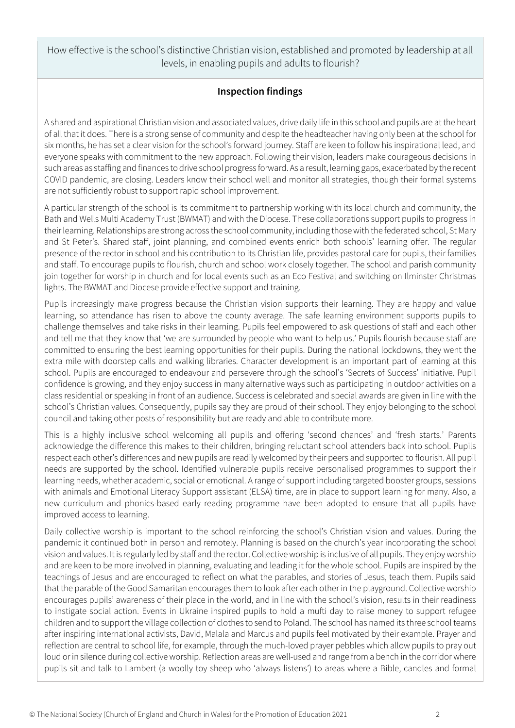How effective is the school's distinctive Christian vision, established and promoted by leadership at all levels, in enabling pupils and adults to flourish?

## **Inspection findings**

A shared and aspirational Christian vision and associated values, drive daily life in this school and pupils are at the heart of all that it does. There is a strong sense of community and despite the headteacher having only been at the school for six months, he has set a clear vision for the school's forward journey. Staff are keen to follow his inspirational lead, and everyone speaks with commitment to the new approach. Following their vision, leaders make courageous decisions in such areas as staffing and finances to drive school progress forward. As a result, learning gaps, exacerbated by the recent COVID pandemic, are closing. Leaders know their school well and monitor all strategies, though their formal systems are not sufficiently robust to support rapid school improvement.

A particular strength of the school is its commitment to partnership working with its local church and community, the Bath and Wells Multi Academy Trust (BWMAT) and with the Diocese. These collaborations support pupils to progress in their learning. Relationships are strong across the school community, including those with the federated school, St Mary and St Peter's. Shared staff, joint planning, and combined events enrich both schools' learning offer. The regular presence of the rector in school and his contribution to its Christian life, provides pastoral care for pupils, their families and staff. To encourage pupils to flourish, church and school work closely together. The school and parish community join together for worship in church and for local events such as an Eco Festival and switching on Ilminster Christmas lights. The BWMAT and Diocese provide effective support and training.

Pupils increasingly make progress because the Christian vision supports their learning. They are happy and value learning, so attendance has risen to above the county average. The safe learning environment supports pupils to challenge themselves and take risks in their learning. Pupils feel empowered to ask questions of staff and each other and tell me that they know that 'we are surrounded by people who want to help us.' Pupils flourish because staff are committed to ensuring the best learning opportunities for their pupils. During the national lockdowns, they went the extra mile with doorstep calls and walking libraries. Character development is an important part of learning at this school. Pupils are encouraged to endeavour and persevere through the school's 'Secrets of Success' initiative. Pupil confidence is growing, and they enjoy success in many alternative ways such as participating in outdoor activities on a class residential or speaking in front of an audience. Success is celebrated and special awards are given in line with the school's Christian values. Consequently, pupils say they are proud of their school. They enjoy belonging to the school council and taking other posts of responsibility but are ready and able to contribute more.

This is a highly inclusive school welcoming all pupils and offering 'second chances' and 'fresh starts.' Parents acknowledge the difference this makes to their children, bringing reluctant school attenders back into school. Pupils respect each other's differences and new pupils are readily welcomed by their peers and supported to flourish. All pupil needs are supported by the school. Identified vulnerable pupils receive personalised programmes to support their learning needs, whether academic, social or emotional. A range of support including targeted booster groups, sessions with animals and Emotional Literacy Support assistant (ELSA) time, are in place to support learning for many. Also, a new curriculum and phonics-based early reading programme have been adopted to ensure that all pupils have improved access to learning.

Daily collective worship is important to the school reinforcing the school's Christian vision and values. During the pandemic it continued both in person and remotely. Planning is based on the church's year incorporating the school vision and values. It is regularly led by staff and the rector. Collective worship is inclusive of all pupils. They enjoy worship and are keen to be more involved in planning, evaluating and leading it for the whole school. Pupils are inspired by the teachings of Jesus and are encouraged to reflect on what the parables, and stories of Jesus, teach them. Pupils said that the parable of the Good Samaritan encourages them to look after each other in the playground. Collective worship encourages pupils' awareness of their place in the world, and in line with the school's vision, results in their readiness to instigate social action. Events in Ukraine inspired pupils to hold a mufti day to raise money to support refugee children and to support the village collection of clothes to send to Poland. The school has named its three school teams after inspiring international activists, David, Malala and Marcus and pupils feel motivated by their example. Prayer and reflection are central to school life, for example, through the much-loved prayer pebbles which allow pupils to pray out loud or in silence during collective worship. Reflection areas are well-used and range from a bench in the corridor where pupils sit and talk to Lambert (a woolly toy sheep who 'always listens') to areas where a Bible, candles and formal